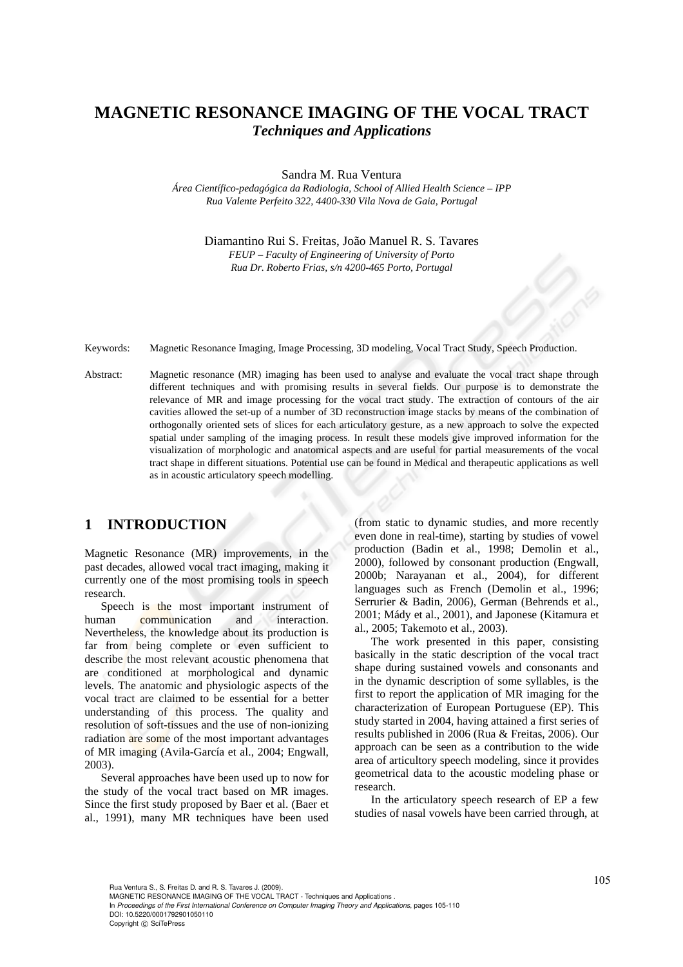# **MAGNETIC RESONANCE IMAGING OF THE VOCAL TRACT**  *Techniques and Applications*

Sandra M. Rua Ventura

*Área Científico-pedagógica da Radiologia, School of Allied Health Science – IPP Rua Valente Perfeito 322, 4400-330 Vila Nova de Gaia, Portugal* 

> Diamantino Rui S. Freitas, João Manuel R. S. Tavares *FEUP – Faculty of Engineering of University of Porto Rua Dr. Roberto Frias, s/n 4200-465 Porto, Portugal*

Keywords: Magnetic Resonance Imaging, Image Processing, 3D modeling, Vocal Tract Study, Speech Production.

Abstract: Magnetic resonance (MR) imaging has been used to analyse and evaluate the vocal tract shape through different techniques and with promising results in several fields. Our purpose is to demonstrate the relevance of MR and image processing for the vocal tract study. The extraction of contours of the air cavities allowed the set-up of a number of 3D reconstruction image stacks by means of the combination of orthogonally oriented sets of slices for each articulatory gesture, as a new approach to solve the expected spatial under sampling of the imaging process. In result these models give improved information for the visualization of morphologic and anatomical aspects and are useful for partial measurements of the vocal tract shape in different situations. Potential use can be found in Medical and therapeutic applications as well as in acoustic articulatory speech modelling.

# **1 INTRODUCTION**

Magnetic Resonance (MR) improvements, in the past decades, allowed vocal tract imaging, making it currently one of the most promising tools in speech research.

Speech is the most important instrument of human communication and interaction. Nevertheless, the knowledge about its production is far from being complete or even sufficient to describe the most relevant acoustic phenomena that are conditioned at morphological and dynamic levels. The anatomic and physiologic aspects of the vocal tract are claimed to be essential for a better understanding of this process. The quality and resolution of soft-tissues and the use of non-ionizing radiation are some of the most important advantages of MR imaging (Avila-García et al., 2004; Engwall, 2003).

Several approaches have been used up to now for the study of the vocal tract based on MR images. Since the first study proposed by Baer et al. (Baer et al., 1991), many MR techniques have been used (from static to dynamic studies, and more recently even done in real-time), starting by studies of vowel production (Badin et al., 1998; Demolin et al., 2000), followed by consonant production (Engwall, 2000b; Narayanan et al., 2004), for different languages such as French (Demolin et al., 1996; Serrurier & Badin, 2006), German (Behrends et al., 2001; Mády et al., 2001), and Japonese (Kitamura et al., 2005; Takemoto et al., 2003).

The work presented in this paper, consisting basically in the static description of the vocal tract shape during sustained vowels and consonants and in the dynamic description of some syllables, is the first to report the application of MR imaging for the characterization of European Portuguese (EP). This study started in 2004, having attained a first series of results published in 2006 (Rua & Freitas, 2006). Our approach can be seen as a contribution to the wide area of articultory speech modeling, since it provides geometrical data to the acoustic modeling phase or research.

In the articulatory speech research of EP a few studies of nasal vowels have been carried through, at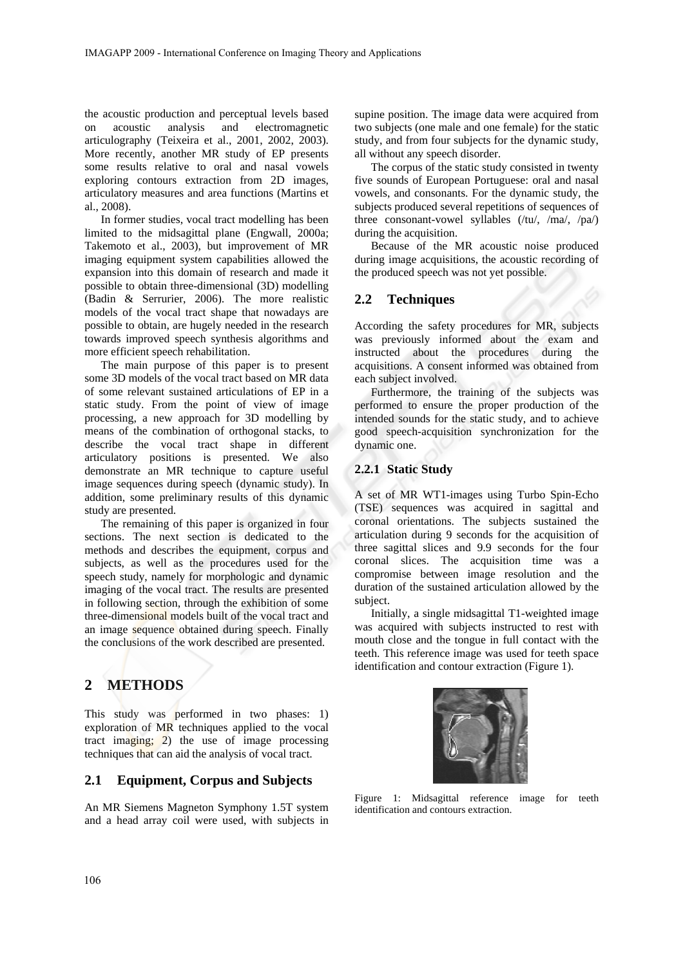the acoustic production and perceptual levels based on acoustic analysis and electromagnetic articulography (Teixeira et al., 2001, 2002, 2003). More recently, another MR study of EP presents some results relative to oral and nasal vowels exploring contours extraction from 2D images, articulatory measures and area functions (Martins et al., 2008).

In former studies, vocal tract modelling has been limited to the midsagittal plane (Engwall, 2000a; Takemoto et al., 2003), but improvement of MR imaging equipment system capabilities allowed the expansion into this domain of research and made it possible to obtain three-dimensional (3D) modelling (Badin & Serrurier, 2006). The more realistic models of the vocal tract shape that nowadays are possible to obtain, are hugely needed in the research towards improved speech synthesis algorithms and more efficient speech rehabilitation.

The main purpose of this paper is to present some 3D models of the vocal tract based on MR data of some relevant sustained articulations of EP in a static study. From the point of view of image processing, a new approach for 3D modelling by means of the combination of orthogonal stacks, to describe the vocal tract shape in different articulatory positions is presented. We also demonstrate an MR technique to capture useful image sequences during speech (dynamic study). In addition, some preliminary results of this dynamic study are presented.

The remaining of this paper is organized in four sections. The next section is dedicated to the methods and describes the equipment, corpus and subjects, as well as the procedures used for the speech study, namely for morphologic and dynamic imaging of the vocal tract. The results are presented in following section, through the exhibition of some three-dimensional models built of the vocal tract and an image sequence obtained during speech. Finally the conclusions of the work described are presented.

# **2 METHODS**

This study was performed in two phases: 1) exploration of MR techniques applied to the vocal tract imaging; 2) the use of image processing techniques that can aid the analysis of vocal tract.

## **2.1 Equipment, Corpus and Subjects**

An MR Siemens Magneton Symphony 1.5T system and a head array coil were used, with subjects in supine position. The image data were acquired from two subjects (one male and one female) for the static study, and from four subjects for the dynamic study, all without any speech disorder.

The corpus of the static study consisted in twenty five sounds of European Portuguese: oral and nasal vowels, and consonants. For the dynamic study, the subjects produced several repetitions of sequences of three consonant-vowel syllables (/tu/, /ma/, /pa/) during the acquisition.

Because of the MR acoustic noise produced during image acquisitions, the acoustic recording of the produced speech was not yet possible.

### **2.2 Techniques**

According the safety procedures for MR, subjects was previously informed about the exam and instructed about the procedures during the acquisitions. A consent informed was obtained from each subject involved.

Furthermore, the training of the subjects was performed to ensure the proper production of the intended sounds for the static study, and to achieve good speech-acquisition synchronization for the dynamic one.

#### **2.2.1 Static Study**

A set of MR WT1-images using Turbo Spin-Echo (TSE) sequences was acquired in sagittal and coronal orientations. The subjects sustained the articulation during 9 seconds for the acquisition of three sagittal slices and 9.9 seconds for the four coronal slices. The acquisition time was a compromise between image resolution and the duration of the sustained articulation allowed by the subject.

Initially, a single midsagittal T1-weighted image was acquired with subjects instructed to rest with mouth close and the tongue in full contact with the teeth. This reference image was used for teeth space identification and contour extraction (Figure 1).



Figure 1: Midsagittal reference image for teeth identification and contours extraction.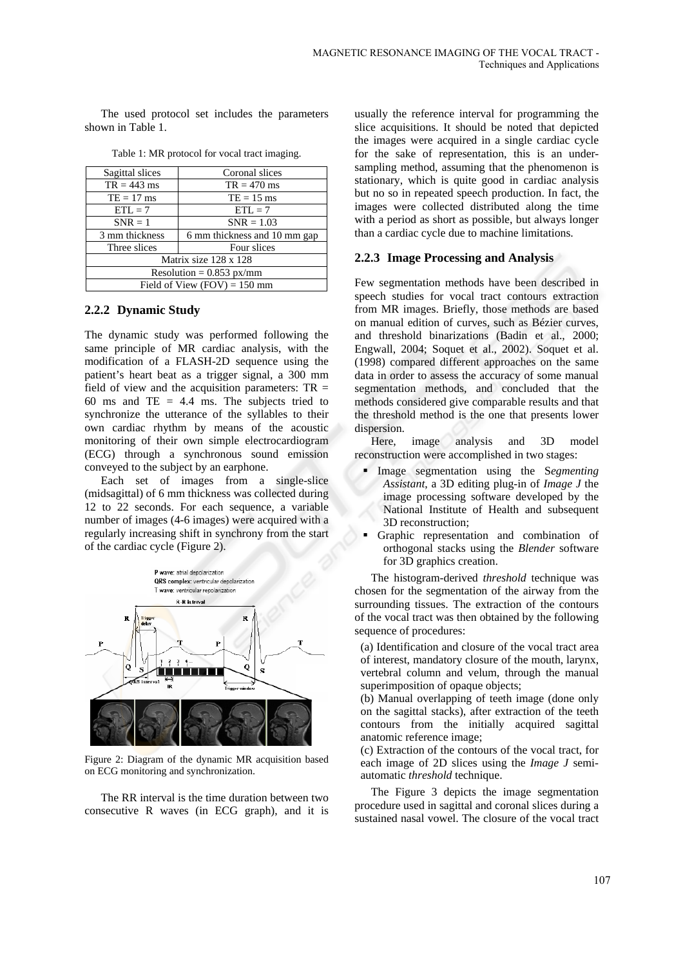The used protocol set includes the parameters shown in Table 1.

| Sagittal slices                | Coronal slices               |
|--------------------------------|------------------------------|
| $TR = 443$ ms                  | $TR = 470$ ms                |
| $TE = 17$ ms                   | $TE = 15$ ms                 |
| $ETL = 7$                      | $ETL = 7$                    |
| $SNR = 1$                      | $SNR = 1.03$                 |
| 3 mm thickness                 | 6 mm thickness and 10 mm gap |
| Three slices                   | Four slices                  |
| Matrix size 128 x 128          |                              |
| Resolution = $0.853$ px/mm     |                              |
| Field of View $(FOV) = 150$ mm |                              |

Table 1: MR protocol for vocal tract imaging.

#### **2.2.2 Dynamic Study**

The dynamic study was performed following the same principle of MR cardiac analysis, with the modification of a FLASH-2D sequence using the patient's heart beat as a trigger signal, a 300 mm field of view and the acquisition parameters:  $TR =$ 60 ms and TE  $= 4.4$  ms. The subjects tried to synchronize the utterance of the syllables to their own cardiac rhythm by means of the acoustic monitoring of their own simple electrocardiogram (ECG) through a synchronous sound emission conveyed to the subject by an earphone.

Each set of images from a single-slice (midsagittal) of 6 mm thickness was collected during 12 to 22 seconds. For each sequence, a variable number of images (4-6 images) were acquired with a regularly increasing shift in synchrony from the start of the cardiac cycle (Figure 2).



Figure 2: Diagram of the dynamic MR acquisition based on ECG monitoring and synchronization.

The RR interval is the time duration between two consecutive R waves (in ECG graph), and it is usually the reference interval for programming the slice acquisitions. It should be noted that depicted the images were acquired in a single cardiac cycle for the sake of representation, this is an undersampling method, assuming that the phenomenon is stationary, which is quite good in cardiac analysis but no so in repeated speech production. In fact, the images were collected distributed along the time with a period as short as possible, but always longer than a cardiac cycle due to machine limitations.

#### **2.2.3 Image Processing and Analysis**

Few segmentation methods have been described in speech studies for vocal tract contours extraction from MR images. Briefly, those methods are based on manual edition of curves, such as Bézier curves, and threshold binarizations (Badin et al., 2000; Engwall, 2004; Soquet et al., 2002). Soquet et al. (1998) compared different approaches on the same data in order to assess the accuracy of some manual segmentation methods, and concluded that the methods considered give comparable results and that the threshold method is the one that presents lower dispersion.

Here, image analysis and 3D model reconstruction were accomplished in two stages:

- Image segmentation using the S*egmenting Assistant*, a 3D editing plug-in of *Image J* the image processing software developed by the National Institute of Health and subsequent 3D reconstruction;
- Graphic representation and combination of orthogonal stacks using the *Blender* software for 3D graphics creation.

The histogram-derived *threshold* technique was chosen for the segmentation of the airway from the surrounding tissues. The extraction of the contours of the vocal tract was then obtained by the following sequence of procedures:

(a) Identification and closure of the vocal tract area of interest, mandatory closure of the mouth, larynx, vertebral column and velum, through the manual superimposition of opaque objects;

(b) Manual overlapping of teeth image (done only on the sagittal stacks), after extraction of the teeth contours from the initially acquired sagittal anatomic reference image;

(c) Extraction of the contours of the vocal tract, for each image of 2D slices using the *Image J* semiautomatic *threshold* technique.

The Figure 3 depicts the image segmentation procedure used in sagittal and coronal slices during a sustained nasal vowel. The closure of the vocal tract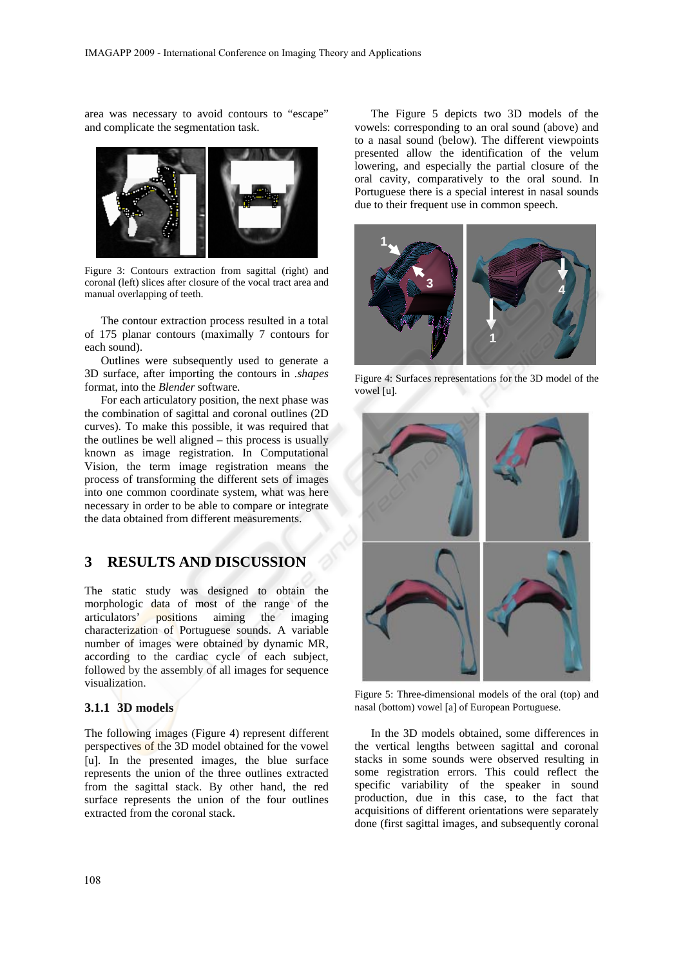area was necessary to avoid contours to "escape" and complicate the segmentation task.



Figure 3: Contours extraction from sagittal (right) and coronal (left) slices after closure of the vocal tract area and manual overlapping of teeth.

The contour extraction process resulted in a total of 175 planar contours (maximally 7 contours for each sound).

Outlines were subsequently used to generate a 3D surface, after importing the contours in *.shapes* format, into the *Blender* software.

For each articulatory position, the next phase was the combination of sagittal and coronal outlines (2D curves). To make this possible, it was required that the outlines be well aligned – this process is usually known as image registration. In Computational Vision, the term image registration means the process of transforming the different sets of images into one common coordinate system, what was here necessary in order to be able to compare or integrate the data obtained from different measurements.

# **3 RESULTS AND DISCUSSION**

The static study was designed to obtain the morphologic data of most of the range of the articulators' positions aiming the imaging characterization of Portuguese sounds. A variable number of images were obtained by dynamic MR, according to the cardiac cycle of each subject, followed by the assembly of all images for sequence visualization.

#### **3.1.1 3D models**

The following images (Figure 4) represent different perspectives of the 3D model obtained for the vowel [u]. In the presented images, the blue surface represents the union of the three outlines extracted from the sagittal stack. By other hand, the red surface represents the union of the four outlines extracted from the coronal stack.

The Figure 5 depicts two 3D models of the vowels: corresponding to an oral sound (above) and to a nasal sound (below). The different viewpoints presented allow the identification of the velum lowering, and especially the partial closure of the oral cavity, comparatively to the oral sound. In Portuguese there is a special interest in nasal sounds due to their frequent use in common speech.



Figure 4: Surfaces representations for the 3D model of the vowel [u].



Figure 5: Three-dimensional models of the oral (top) and nasal (bottom) vowel [a] of European Portuguese.

In the 3D models obtained, some differences in the vertical lengths between sagittal and coronal stacks in some sounds were observed resulting in some registration errors. This could reflect the specific variability of the speaker in sound production, due in this case, to the fact that acquisitions of different orientations were separately done (first sagittal images, and subsequently coronal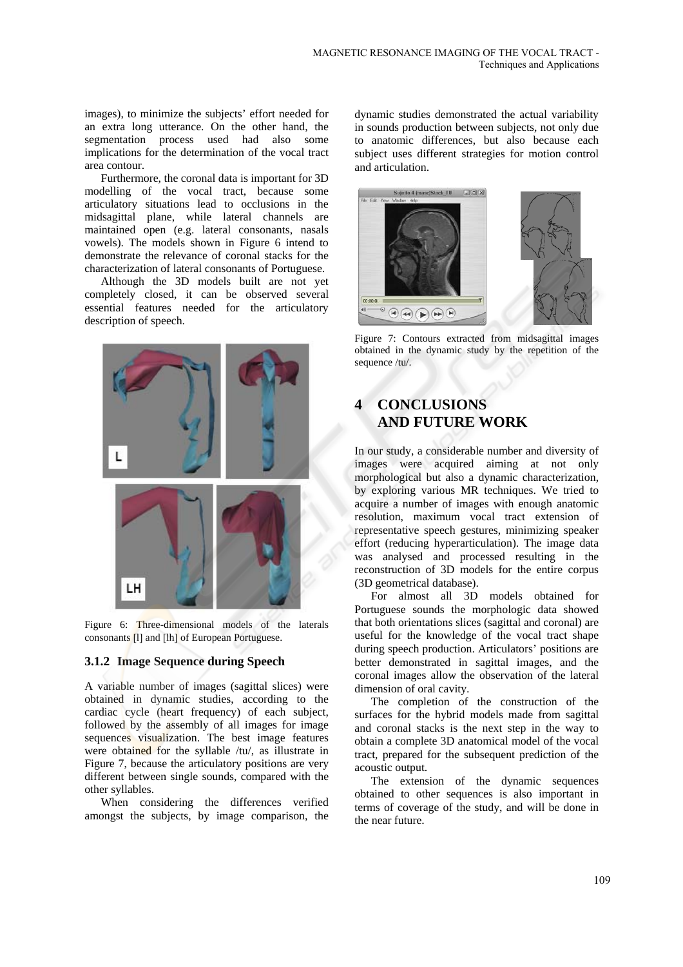images), to minimize the subjects' effort needed for an extra long utterance. On the other hand, the segmentation process used had also some implications for the determination of the vocal tract area contour.

Furthermore, the coronal data is important for 3D modelling of the vocal tract, because some articulatory situations lead to occlusions in the midsagittal plane, while lateral channels are maintained open (e.g. lateral consonants, nasals vowels). The models shown in Figure 6 intend to demonstrate the relevance of coronal stacks for the characterization of lateral consonants of Portuguese.

Although the 3D models built are not yet completely closed, it can be observed several essential features needed for the articulatory description of speech.



Figure 6: Three-dimensional models of the laterals consonants [l] and [lh] of European Portuguese.

### **3.1.2 Image Sequence during Speech**

A variable number of images (sagittal slices) were obtained in dynamic studies, according to the cardiac cycle (heart frequency) of each subject, followed by the assembly of all images for image sequences visualization. The best image features were obtained for the syllable /tu/, as illustrate in Figure 7, because the articulatory positions are very different between single sounds, compared with the other syllables.

When considering the differences verified amongst the subjects, by image comparison, the dynamic studies demonstrated the actual variability in sounds production between subjects, not only due to anatomic differences, but also because each subject uses different strategies for motion control and articulation.



Figure 7: Contours extracted from midsagittal images obtained in the dynamic study by the repetition of the sequence /tu/.

# **4 CONCLUSIONS AND FUTURE WORK**

In our study, a considerable number and diversity of images were acquired aiming at not only morphological but also a dynamic characterization, by exploring various MR techniques. We tried to acquire a number of images with enough anatomic resolution, maximum vocal tract extension of representative speech gestures, minimizing speaker effort (reducing hyperarticulation). The image data was analysed and processed resulting in the reconstruction of 3D models for the entire corpus (3D geometrical database).

For almost all 3D models obtained for Portuguese sounds the morphologic data showed that both orientations slices (sagittal and coronal) are useful for the knowledge of the vocal tract shape during speech production. Articulators' positions are better demonstrated in sagittal images, and the coronal images allow the observation of the lateral dimension of oral cavity.

The completion of the construction of the surfaces for the hybrid models made from sagittal and coronal stacks is the next step in the way to obtain a complete 3D anatomical model of the vocal tract, prepared for the subsequent prediction of the acoustic output.

The extension of the dynamic sequences obtained to other sequences is also important in terms of coverage of the study, and will be done in the near future.